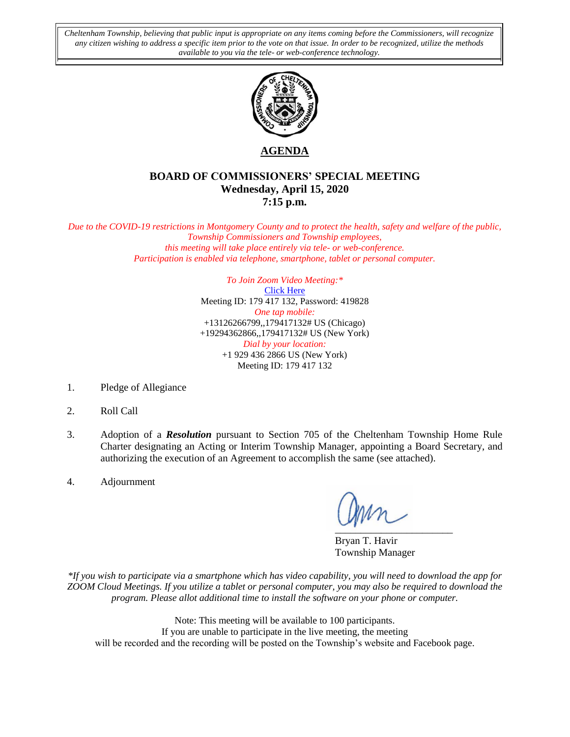*Cheltenham Township, believing that public input is appropriate on any items coming before the Commissioners, will recognize any citizen wishing to address a specific item prior to the vote on that issue. In order to be recognized, utilize the methods available to you via the tele- or web-conference technology.*



**AGENDA**

## **BOARD OF COMMISSIONERS' SPECIAL MEETING Wednesday, April 15, 2020 7:15 p.m.**

*Due to the COVID-19 restrictions in Montgomery County and to protect the health, safety and welfare of the public, Township Commissioners and Township employees, this meeting will take place entirely via tele- or web-conference. Participation is enabled via telephone, smartphone, tablet or personal computer.*

> *To Join Zoom Video Meeting:\** [Click Here](https://us02web.zoom.us/j/179417132?pwd=UjQvdTM1dkV1bnNrTGp3dTlwa0ZxQT09) Meeting ID: 179 417 132, Password: 419828 *One tap mobile:* +13126266799,,179417132# US (Chicago) +19294362866,,179417132# US (New York) *Dial by your location:* +1 929 436 2866 US (New York) Meeting ID: 179 417 132

- 1. Pledge of Allegiance
- 2. Roll Call
- 3. Adoption of a *Resolution* pursuant to Section 705 of the Cheltenham Township Home Rule Charter designating an Acting or Interim Township Manager, appointing a Board Secretary, and authorizing the execution of an Agreement to accomplish the same (see attached).
- 4. Adjournment

 $\sum_{i=1}^{n}$ 

Bryan T. Havir Township Manager

*\*If you wish to participate via a smartphone which has video capability, you will need to download the app for ZOOM Cloud Meetings. If you utilize a tablet or personal computer, you may also be required to download the program. Please allot additional time to install the software on your phone or computer.* 

Note: This meeting will be available to 100 participants. If you are unable to participate in the live meeting, the meeting will be recorded and the recording will be posted on the Township's website and Facebook page.